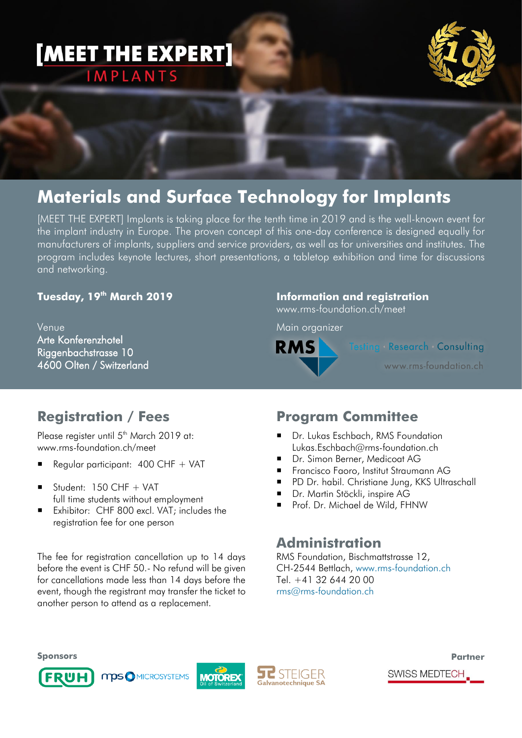## [MEET THE EXPERT] **IMPLANTS**



## **Materials and Surface Technology for Implants**

[MEET THE EXPERT] Implants is taking place for the tenth time in 2019 and is the well-known event for the implant industry in Europe. The proven concept of this one-day conference is designed equally for manufacturers of implants, suppliers and service providers, as well as for universities and institutes. The program includes keynote lectures, short presentations, a tabletop exhibition and time for discussions and networking.

#### **Tuesday, 19 th March 2019**

Venue Arte Konferenzhotel Riggenbachstrasse 10 4600 Olten / Switzerland

#### **Information and registration**

www.rms-foundation.ch/meet

Main organizer



**Testing Research Consulting** 

www.rms-foundation.ch

### **Registration / Fees**

Please register until 5<sup>th</sup> March 2019 at: www.rms-foundation.ch/meet

- Regular participant:  $400$  CHF + VAT
- $\blacksquare$  Student: 150 CHF + VAT full time students without employment
- Exhibitor: CHF 800 excl. VAT; includes the registration fee for one person

The fee for registration cancellation up to 14 days before the event is CHF 50.- No refund will be given for cancellations made less than 14 days before the event, though the registrant may transfer the ticket to another person to attend as a replacement.

### **Program Committee**

- Dr. Lukas Eschbach, RMS Foundation Lukas.Eschbach@rms-foundation.ch
- Dr. Simon Berner, Medicoat AG
- **Francisco Faoro, Institut Straumann AG**
- PD Dr. habil. Christiane Jung, KKS Ultraschall
- **Dr. Martin Stöckli, inspire AG**
- Prof. Dr. Michael de Wild, FHNW

#### **Administration**

RMS Foundation, Bischmattstrasse 12, CH-2544 Bettlach, [www.rms-foundation.ch](http://www.rms-foundation.ch/) Tel. +41 32 644 20 00 [rms@rms-foundation.ch](mailto:rms@rms-foundation.ch)

**Sponsors**







**Partner**

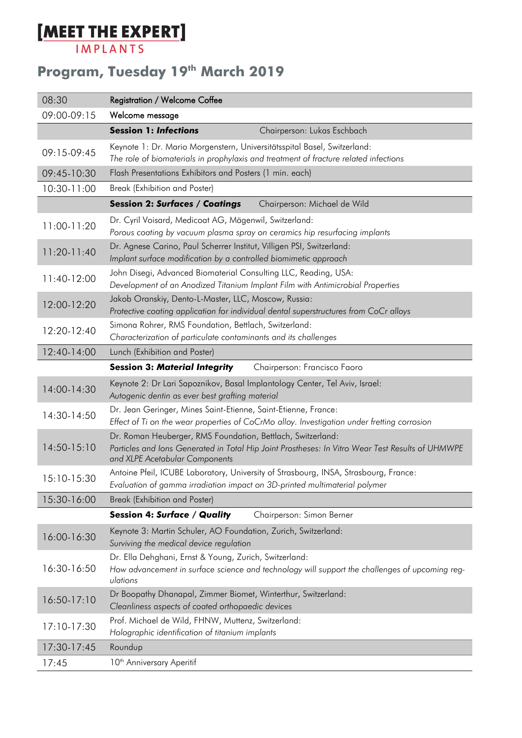# **[MEET THE EXPERT]**

## **Program, Tuesday 19 th March 2019**

| 08:30         | <b>Registration / Welcome Coffee</b>                                                                                                                                                              |
|---------------|---------------------------------------------------------------------------------------------------------------------------------------------------------------------------------------------------|
| 09:00-09:15   | Welcome message                                                                                                                                                                                   |
|               | <b>Session 1: Infections</b><br>Chairperson: Lukas Eschbach                                                                                                                                       |
| 09:15-09:45   | Keynote 1: Dr. Mario Morgenstern, Universitätsspital Basel, Switzerland:<br>The role of biomaterials in prophylaxis and treatment of fracture related infections                                  |
| 09:45-10:30   | Flash Presentations Exhibitors and Posters (1 min. each)                                                                                                                                          |
| $10:30-11:00$ | Break (Exhibition and Poster)                                                                                                                                                                     |
|               | Chairperson: Michael de Wild<br><b>Session 2: Surfaces / Coatings</b>                                                                                                                             |
| 11:00-11:20   | Dr. Cyril Voisard, Medicoat AG, Mägenwil, Switzerland:<br>Porous coating by vacuum plasma spray on ceramics hip resurfacing implants                                                              |
| $11:20-11:40$ | Dr. Agnese Carino, Paul Scherrer Institut, Villigen PSI, Switzerland:<br>Implant surface modification by a controlled biomimetic approach                                                         |
| $11:40-12:00$ | John Disegi, Advanced Biomaterial Consulting LLC, Reading, USA:<br>Development of an Anodized Titanium Implant Film with Antimicrobial Properties                                                 |
| 12:00-12:20   | Jakob Oranskiy, Dento-L-Master, LLC, Moscow, Russia:<br>Protective coating application for individual dental superstructures from CoCr alloys                                                     |
| 12:20-12:40   | Simona Rohrer, RMS Foundation, Bettlach, Switzerland:<br>Characterization of particulate contaminants and its challenges                                                                          |
| 12:40-14:00   | Lunch (Exhibition and Poster)                                                                                                                                                                     |
|               | <b>Session 3: Material Integrity</b><br>Chairperson: Francisco Faoro                                                                                                                              |
| 14:00-14:30   | Keynote 2: Dr Lari Sapoznikov, Basal Implantology Center, Tel Aviv, Israel:<br>Autogenic dentin as ever best grafting material                                                                    |
| 14:30-14:50   | Dr. Jean Geringer, Mines Saint-Etienne, Saint-Etienne, France:<br>Effect of Ti on the wear properties of CoCrMo alloy. Investigation under fretting corrosion                                     |
| $14:50-15:10$ | Dr. Roman Heuberger, RMS Foundation, Bettlach, Switzerland:<br>Particles and Ions Generated in Total Hip Joint Prostheses: In Vitro Wear Test Results of UHMWPE<br>and XLPE Acetabular Components |
| 15:10-15:30   | Antoine Pfeil, ICUBE Laboratory, University of Strasbourg, INSA, Strasbourg, France:<br>Evaluation of gamma irradiation impact on 3D-printed multimaterial polymer                                |
| 15:30-16:00   | Break (Exhibition and Poster)                                                                                                                                                                     |
|               | <b>Session 4: Surface / Quality</b><br>Chairperson: Simon Berner                                                                                                                                  |
| 16:00-16:30   | Keynote 3: Martin Schuler, AO Foundation, Zurich, Switzerland:<br>Surviving the medical device regulation                                                                                         |
| 16:30-16:50   | Dr. Ella Dehghani, Ernst & Young, Zurich, Switzerland:<br>How advancement in surface science and technology will support the challenges of upcoming reg-<br>ulations                              |
| $16:50-17:10$ | Dr Boopathy Dhanapal, Zimmer Biomet, Winterthur, Switzerland:<br>Cleanliness aspects of coated orthopaedic devices                                                                                |
| 17:10-17:30   | Prof. Michael de Wild, FHNW, Muttenz, Switzerland:<br>Holographic identification of titanium implants                                                                                             |
| 17:30-17:45   | Roundup                                                                                                                                                                                           |
| 17:45         | 10 <sup>th</sup> Anniversary Aperitif                                                                                                                                                             |